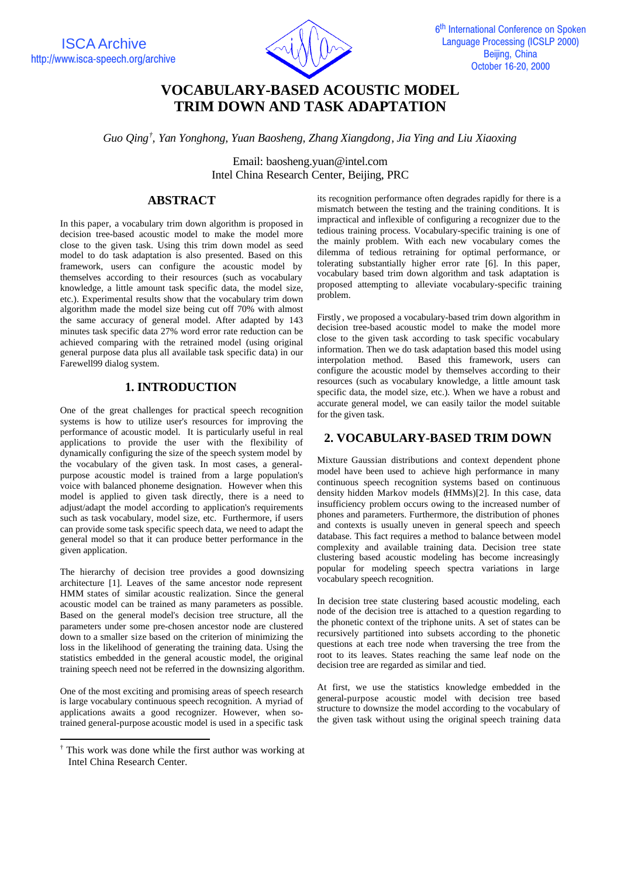ISCA Archive http://www.isca-speech.org/archive



# **VOCABULARY-BASED ACOUSTIC MODEL TRIM DOWN AND TASK ADAPTATION**

*Guo Qing† , Yan Yonghong, Yuan Baosheng, Zhang Xiangdong, Jia Ying and Liu Xiaoxing*

Email: baosheng.yuan@intel.com Intel China Research Center, Beijing, PRC

# **ABSTRACT**

In this paper, a vocabulary trim down algorithm is proposed in decision tree-based acoustic model to make the model more close to the given task. Using this trim down model as seed model to do task adaptation is also presented. Based on this framework, users can configure the acoustic model by themselves according to their resources (such as vocabulary knowledge, a little amount task specific data, the model size, etc.). Experimental results show that the vocabulary trim down algorithm made the model size being cut off 70% with almost the same accuracy of general model. After adapted by 143 minutes task specific data 27% word error rate reduction can be achieved comparing with the retrained model (using original general purpose data plus all available task specific data) in our Farewell99 dialog system.

## **1. INTRODUCTION**

One of the great challenges for practical speech recognition systems is how to utilize user's resources for improving the performance of acoustic model. It is particularly useful in real applications to provide the user with the flexibility of dynamically configuring the size of the speech system model by the vocabulary of the given task. In most cases, a generalpurpose acoustic model is trained from a large population's voice with balanced phoneme designation. However when this model is applied to given task directly, there is a need to adjust/adapt the model according to application's requirements such as task vocabulary, model size, etc. Furthermore, if users can provide some task specific speech data, we need to adapt the general model so that it can produce better performance in the given application.

The hierarchy of decision tree provides a good downsizing architecture [1]. Leaves of the same ancestor node represent HMM states of similar acoustic realization. Since the general acoustic model can be trained as many parameters as possible. Based on the general model's decision tree structure, all the parameters under some pre-chosen ancestor node are clustered down to a smaller size based on the criterion of minimizing the loss in the likelihood of generating the training data. Using the statistics embedded in the general acoustic model, the original training speech need not be referred in the downsizing algorithm.

One of the most exciting and promising areas of speech research is large vocabulary continuous speech recognition. A myriad of applications awaits a good recognizer. However, when sotrained general-purpose acoustic model is used in a specific task

j

its recognition performance often degrades rapidly for there is a mismatch between the testing and the training conditions. It is impractical and inflexible of configuring a recognizer due to the tedious training process. Vocabulary-specific training is one of the mainly problem. With each new vocabulary comes the dilemma of tedious retraining for optimal performance, or tolerating substantially higher error rate [6]. In this paper, vocabulary based trim down algorithm and task adaptation is proposed attempting to alleviate vocabulary-specific training problem.

Firstly , we proposed a vocabulary-based trim down algorithm in decision tree-based acoustic model to make the model more close to the given task according to task specific vocabulary information. Then we do task adaptation based this model using interpolation method. Based this framework, users can configure the acoustic model by themselves according to their resources (such as vocabulary knowledge, a little amount task specific data, the model size, etc.). When we have a robust and accurate general model, we can easily tailor the model suitable for the given task.

## **2. VOCABULARY-BASED TRIM DOWN**

Mixture Gaussian distributions and context dependent phone model have been used to achieve high performance in many continuous speech recognition systems based on continuous density hidden Markov models (HMMs)[2]. In this case, data insufficiency problem occurs owing to the increased number of phones and parameters. Furthermore, the distribution of phones and contexts is usually uneven in general speech and speech database. This fact requires a method to balance between model complexity and available training data. Decision tree state clustering based acoustic modeling has become increasingly popular for modeling speech spectra variations in large vocabulary speech recognition.

In decision tree state clustering based acoustic modeling, each node of the decision tree is attached to a question regarding to the phonetic context of the triphone units. A set of states can be recursively partitioned into subsets according to the phonetic questions at each tree node when traversing the tree from the root to its leaves. States reaching the same leaf node on the decision tree are regarded as similar and tied.

At first, we use the statistics knowledge embedded in the general-purpose acoustic model with decision tree based structure to downsize the model according to the vocabulary of the given task without using the original speech training data

<sup>†</sup> This work was done while the first author was working at Intel China Research Center.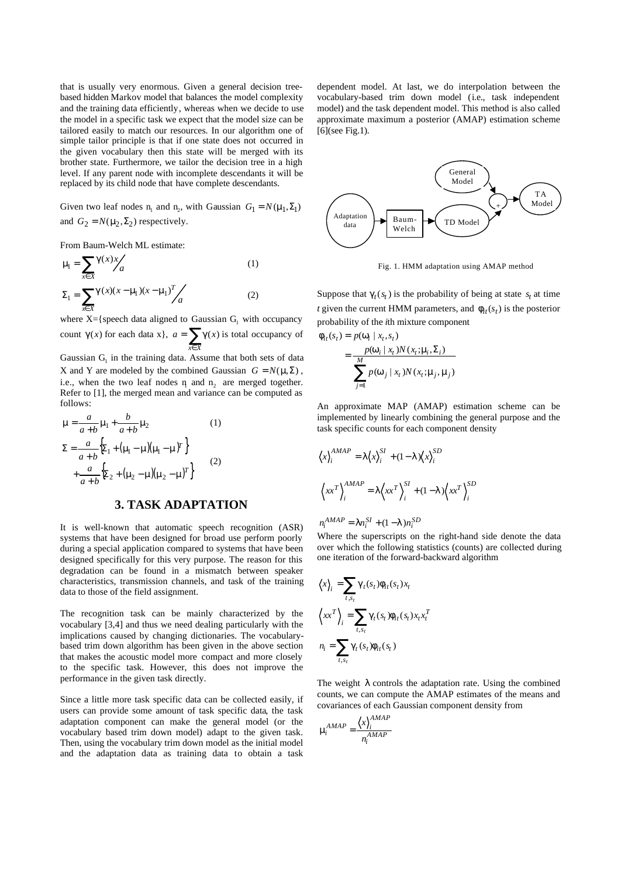that is usually very enormous. Given a general decision treebased hidden Markov model that balances the model complexity and the training data efficiently, whereas when we decide to use the model in a specific task we expect that the model size can be tailored easily to match our resources. In our algorithm one of simple tailor principle is that if one state does not occurred in the given vocabulary then this state will be merged with its brother state. Furthermore, we tailor the decision tree in a high level. If any parent node with incomplete descendants it will be replaced by its child node that have complete descendants.

Given two leaf nodes  $n_1$  and  $n_2$ , with Gaussian  $G_1 = N(m_1, \Sigma_1)$ and  $G_2 = N(m_2, \Sigma_2)$  respectively.

From Baum-Welch ML estimate:

$$
\mathbf{m} = \sum_{x \in X} \mathbf{g}(x) x / a
$$
(1)  

$$
\Sigma_1 = \sum_{x \in X} \mathbf{g}(x) (x - \mathbf{m}_1) (x - \mathbf{m}_1)^T / a
$$
(2)

where  $X = \{$  speech data aligned to Gaussian  $G_1$  with occupancy count  $g(x)$  for each data x,  $a = \sum_{x \in X}$ *x X*  $a = \sum g(x)$  is total occupancy of

Gaussian  $G<sub>1</sub>$  in the training data. Assume that both sets of data X and Y are modeled by the combined Gaussian  $G = N(\mathbf{m}\Sigma)$ , i.e., when the two leaf nodes  $n_1$  and  $n_2$  are merged together. Refer to [1], the merged mean and variance can be computed as follows:

$$
\mathbf{m} = \frac{a}{a+b} \mathbf{m}_1 + \frac{b}{a+b} \mathbf{m}_2
$$
(1)  

$$
\Sigma = \frac{a}{a+b} \left\{ \Sigma_1 + (\mathbf{m}_1 - \mathbf{m})(\mathbf{m}_1 - \mathbf{m})^T \right\}
$$

$$
+ \frac{a}{a+b} \left\{ \Sigma_2 + (\mathbf{m}_2 - \mathbf{m})(\mathbf{m}_2 - \mathbf{m})^T \right\}
$$
(2)

#### **3. TASK ADAPTATION**

It is well-known that automatic speech recognition (ASR) systems that have been designed for broad use perform poorly during a special application compared to systems that have been designed specifically for this very purpose. The reason for this degradation can be found in a mismatch between speaker characteristics, transmission channels, and task of the training data to those of the field assignment.

The recognition task can be mainly characterized by the vocabulary [3,4] and thus we need dealing particularly with the implications caused by changing dictionaries. The vocabularybased trim down algorithm has been given in the above section that makes the acoustic model more compact and more closely to the specific task. However, this does not improve the performance in the given task directly.

Since a little more task specific data can be collected easily, if users can provide some amount of task specific data, the task adaptation component can make the general model (or the vocabulary based trim down model) adapt to the given task. Then, using the vocabulary trim down model as the initial model and the adaptation data as training data to obtain a task dependent model. At last, we do interpolation between the vocabulary-based trim down model (i.e., task independent model) and the task dependent model. This method is also called approximate maximum a posterior (AMAP) estimation scheme [6](see Fig.1).



Fig. 1. HMM adaptation using AMAP method

Suppose that  $g_t(s_t)$  is the probability of being at state  $s_t$  at time *t* given the current HMM parameters, and  $f_{it}(s_t)$  is the posterior probability of the *i*th mixture component

$$
f_{it}(s_t) = p(\mathbf{w}_i | x_t, s_t)
$$
  
= 
$$
\frac{p(\mathbf{w}_i | x_t) N(x_t; \mathbf{m}_i, \Sigma_i)}{\sum_{j=1}^{M} p(\mathbf{w}_j | x_t) N(x_t; \mathbf{m}_j, \mathbf{m}_j)}
$$

An approximate MAP (AMAP) estimation scheme can be implemented by linearly combining the general purpose and the task specific counts for each component density

$$
\langle x \rangle_i^{AMAP} = I \langle x \rangle_i^{SI} + (1 - I) \langle x \rangle_i^{SD}
$$

$$
\langle x x^T \rangle_i^{AMAP} = I \langle x x^T \rangle_i^{SI} + (1 - I) \langle x x^T \rangle_i^{SD}
$$

$$
n_i^{AMAP} = In_i^{SI} + (1-I)n_i^{SD}
$$

Where the superscripts on the right-hand side denote the data over which the following statistics (counts) are collected during one iteration of the forward-backward algorithm

$$
\langle x \rangle_i = \sum_{t,s_t} g_t(s_t) f_{it}(s_t) x_t
$$

$$
\langle xx^T \rangle_i = \sum_{t,s_t} g_t(s_t) f_{it}(s_t) x_t x_t^T
$$

$$
n_i = \sum_{t,s_t} g_t(s_t) f_{it}(s_t)
$$

The weight *l* controls the adaptation rate. Using the combined counts, we can compute the AMAP estimates of the means and covariances of each Gaussian component density from

$$
\mathbf{m}^{AMAP} = \frac{\left\langle x \right\rangle^{AMAP}_i}{n_i^{AMAP}}
$$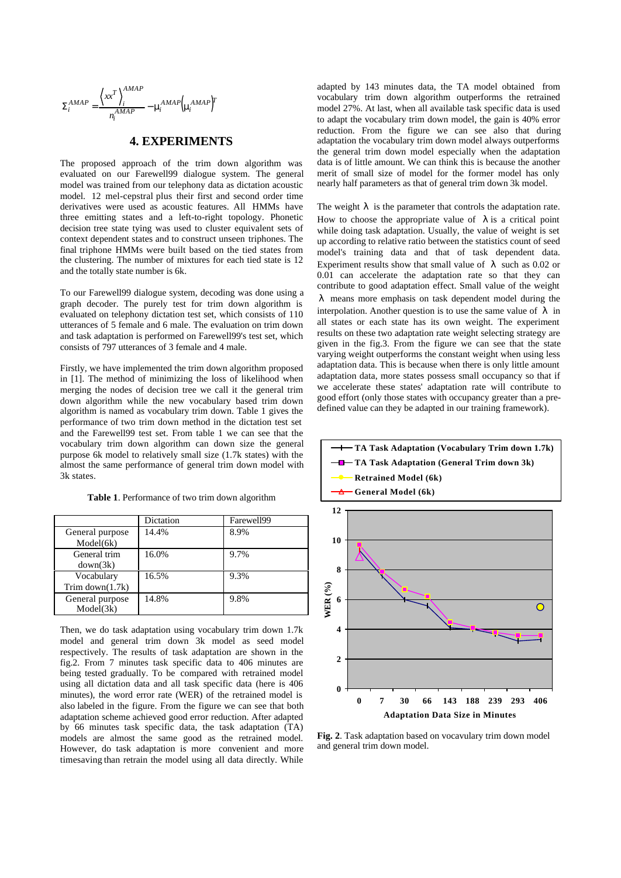$$
\Sigma_i^{AMAP} = \frac{\left\langle xx^T \right\rangle_i^{AMAP}}{n_i^{AMAP}} - \mathbf{m}_i^{AMAP} \Big(\mathbf{m}_i^{AMAP}\Big)^T
$$

#### **4. EXPERIMENTS**

The proposed approach of the trim down algorithm was evaluated on our Farewell99 dialogue system. The general model was trained from our telephony data as dictation acoustic model. 12 mel-cepstral plus their first and second order time derivatives were used as acoustic features. All HMMs have three emitting states and a left-to-right topology. Phonetic decision tree state tying was used to cluster equivalent sets of context dependent states and to construct unseen triphones. The final triphone HMMs were built based on the tied states from the clustering. The number of mixtures for each tied state is 12 and the totally state number is 6k.

To our Farewell99 dialogue system, decoding was done using a graph decoder. The purely test for trim down algorithm is evaluated on telephony dictation test set, which consists of 110 utterances of 5 female and 6 male. The evaluation on trim down and task adaptation is performed on Farewell99's test set, which consists of 797 utterances of 3 female and 4 male.

Firstly, we have implemented the trim down algorithm proposed in [1]. The method of minimizing the loss of likelihood when merging the nodes of decision tree we call it the general trim down algorithm while the new vocabulary based trim down algorithm is named as vocabulary trim down. Table 1 gives the performance of two trim down method in the dictation test set and the Farewell99 test set. From table 1 we can see that the vocabulary trim down algorithm can down size the general purpose 6k model to relatively small size (1.7k states) with the almost the same performance of general trim down model with 3k states.

|  |  | <b>Table 1.</b> Performance of two trim down algorithm |  |  |  |  |
|--|--|--------------------------------------------------------|--|--|--|--|
|--|--|--------------------------------------------------------|--|--|--|--|

|                    | Dictation | Farewell99 |
|--------------------|-----------|------------|
| General purpose    | 14.4%     | 8.9%       |
| Model(6k)          |           |            |
| General trim       | 16.0%     | 9.7%       |
| down(3k)           |           |            |
| Vocabulary         | 16.5%     | 9.3%       |
| Trim down $(1.7k)$ |           |            |
| General purpose    | 14.8%     | 9.8%       |
| Model(3k)          |           |            |

Then, we do task adaptation using vocabulary trim down 1.7k model and general trim down 3k model as seed model respectively. The results of task adaptation are shown in the fig.2. From 7 minutes task specific data to 406 minutes are being tested gradually. To be compared with retrained model using all dictation data and all task specific data (here is 406 minutes), the word error rate (WER) of the retrained model is also labeled in the figure. From the figure we can see that both adaptation scheme achieved good error reduction. After adapted by 66 minutes task specific data, the task adaptation (TA) models are almost the same good as the retrained model. However, do task adaptation is more convenient and more timesaving than retrain the model using all data directly. While adapted by 143 minutes data, the TA model obtained from vocabulary trim down algorithm outperforms the retrained model 27%. At last, when all available task specific data is used to adapt the vocabulary trim down model, the gain is 40% error reduction. From the figure we can see also that during adaptation the vocabulary trim down model always outperforms the general trim down model especially when the adaptation data is of little amount. We can think this is because the another merit of small size of model for the former model has only nearly half parameters as that of general trim down 3k model.

The weight *l* is the parameter that controls the adaptation rate. How to choose the appropriate value of *l* is a critical point while doing task adaptation. Usually, the value of weight is set up according to relative ratio between the statistics count of seed model's training data and that of task dependent data. Experiment results show that small value of *l* such as 0.02 or 0.01 can accelerate the adaptation rate so that they can contribute to good adaptation effect. Small value of the weight *l* means more emphasis on task dependent model during the interpolation. Another question is to use the same value of *l* in all states or each state has its own weight. The experiment results on these two adaptation rate weight selecting strategy are given in the fig.3. From the figure we can see that the state varying weight outperforms the constant weight when using less adaptation data. This is because when there is only little amount adaptation data, more states possess small occupancy so that if we accelerate these states' adaptation rate will contribute to good effort (only those states with occupancy greater than a predefined value can they be adapted in our training framework).



**Fig. 2**. Task adaptation based on vocavulary trim down model and general trim down model.